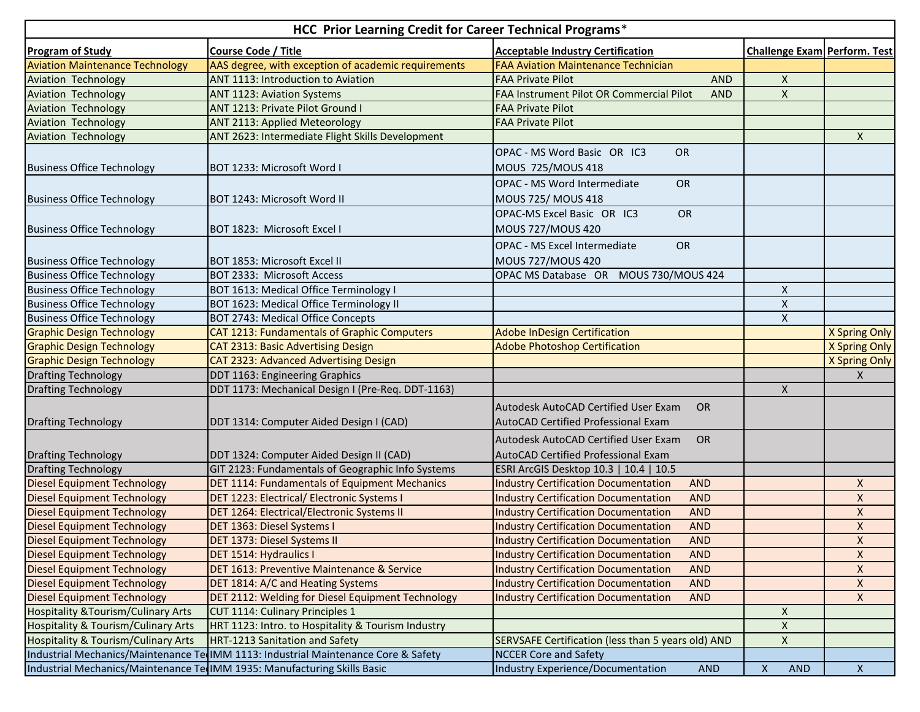| HCC Prior Learning Credit for Career Technical Programs* |                                                                                    |                                                           |                                         |                    |  |  |  |  |
|----------------------------------------------------------|------------------------------------------------------------------------------------|-----------------------------------------------------------|-----------------------------------------|--------------------|--|--|--|--|
| <b>Program of Study</b>                                  | <b>Course Code / Title</b>                                                         | <b>Acceptable Industry Certification</b>                  | Challenge Exam Perform. Test            |                    |  |  |  |  |
| <b>Aviation Maintenance Technology</b>                   | AAS degree, with exception of academic requirements                                | <b>FAA Aviation Maintenance Technician</b>                |                                         |                    |  |  |  |  |
| <b>Aviation Technology</b>                               | ANT 1113: Introduction to Aviation                                                 | <b>FAA Private Pilot</b><br><b>AND</b>                    | X                                       |                    |  |  |  |  |
| <b>Aviation Technology</b>                               | <b>ANT 1123: Aviation Systems</b>                                                  | FAA Instrument Pilot OR Commercial Pilot<br><b>AND</b>    | $\pmb{\times}$                          |                    |  |  |  |  |
| <b>Aviation Technology</b>                               | ANT 1213: Private Pilot Ground I                                                   | <b>FAA Private Pilot</b>                                  |                                         |                    |  |  |  |  |
| <b>Aviation Technology</b>                               | <b>ANT 2113: Applied Meteorology</b>                                               | <b>FAA Private Pilot</b>                                  |                                         |                    |  |  |  |  |
| <b>Aviation Technology</b>                               | ANT 2623: Intermediate Flight Skills Development                                   |                                                           |                                         | $\mathsf{X}$       |  |  |  |  |
|                                                          |                                                                                    | OPAC - MS Word Basic OR IC3<br>OR                         |                                         |                    |  |  |  |  |
| <b>Business Office Technology</b>                        | BOT 1233: Microsoft Word I                                                         | MOUS 725/MOUS 418                                         |                                         |                    |  |  |  |  |
|                                                          |                                                                                    | <b>OPAC - MS Word Intermediate</b><br><b>OR</b>           |                                         |                    |  |  |  |  |
| <b>Business Office Technology</b>                        | BOT 1243: Microsoft Word II                                                        | MOUS 725/ MOUS 418                                        |                                         |                    |  |  |  |  |
|                                                          |                                                                                    | OPAC-MS Excel Basic OR IC3<br><b>OR</b>                   |                                         |                    |  |  |  |  |
|                                                          |                                                                                    |                                                           |                                         |                    |  |  |  |  |
| <b>Business Office Technology</b>                        | BOT 1823: Microsoft Excel I                                                        | <b>MOUS 727/MOUS 420</b>                                  |                                         |                    |  |  |  |  |
|                                                          |                                                                                    | OPAC - MS Excel Intermediate<br><b>OR</b>                 |                                         |                    |  |  |  |  |
| <b>Business Office Technology</b>                        | BOT 1853: Microsoft Excel II                                                       | <b>MOUS 727/MOUS 420</b>                                  |                                         |                    |  |  |  |  |
| <b>Business Office Technology</b>                        | BOT 2333: Microsoft Access                                                         | OPAC MS Database OR MOUS 730/MOUS 424                     |                                         |                    |  |  |  |  |
| <b>Business Office Technology</b>                        | BOT 1613: Medical Office Terminology I                                             |                                                           | X                                       |                    |  |  |  |  |
| <b>Business Office Technology</b>                        | BOT 1623: Medical Office Terminology II                                            |                                                           | $\pmb{\mathsf{X}}$                      |                    |  |  |  |  |
| <b>Business Office Technology</b>                        | BOT 2743: Medical Office Concepts                                                  |                                                           | $\mathsf{X}$                            |                    |  |  |  |  |
| <b>Graphic Design Technology</b>                         | CAT 1213: Fundamentals of Graphic Computers                                        | <b>Adobe InDesign Certification</b>                       |                                         | X Spring Only      |  |  |  |  |
| <b>Graphic Design Technology</b>                         | <b>CAT 2313: Basic Advertising Design</b>                                          | <b>Adobe Photoshop Certification</b>                      |                                         | X Spring Only      |  |  |  |  |
| <b>Graphic Design Technology</b>                         | CAT 2323: Advanced Advertising Design                                              |                                                           |                                         | X Spring Only      |  |  |  |  |
| <b>Drafting Technology</b>                               | DDT 1163: Engineering Graphics                                                     |                                                           |                                         | $\mathsf{X}$       |  |  |  |  |
| <b>Drafting Technology</b>                               | DDT 1173: Mechanical Design I (Pre-Req. DDT-1163)                                  |                                                           | X                                       |                    |  |  |  |  |
|                                                          |                                                                                    | Autodesk AutoCAD Certified User Exam<br><b>OR</b>         |                                         |                    |  |  |  |  |
| <b>Drafting Technology</b>                               | DDT 1314: Computer Aided Design I (CAD)                                            | AutoCAD Certified Professional Exam                       |                                         |                    |  |  |  |  |
|                                                          |                                                                                    |                                                           |                                         |                    |  |  |  |  |
|                                                          |                                                                                    | Autodesk AutoCAD Certified User Exam<br><b>OR</b>         |                                         |                    |  |  |  |  |
| <b>Drafting Technology</b>                               | DDT 1324: Computer Aided Design II (CAD)                                           | AutoCAD Certified Professional Exam                       |                                         |                    |  |  |  |  |
| <b>Drafting Technology</b>                               | GIT 2123: Fundamentals of Geographic Info Systems                                  | ESRI ArcGIS Desktop 10.3   10.4   10.5                    |                                         |                    |  |  |  |  |
| <b>Diesel Equipment Technology</b>                       | DET 1114: Fundamentals of Equipment Mechanics                                      | <b>Industry Certification Documentation</b><br><b>AND</b> |                                         | X                  |  |  |  |  |
| <b>Diesel Equipment Technology</b>                       | DET 1223: Electrical/ Electronic Systems I                                         | <b>Industry Certification Documentation</b><br><b>AND</b> |                                         | $\pmb{\mathsf{X}}$ |  |  |  |  |
| <b>Diesel Equipment Technology</b>                       | DET 1264: Electrical/Electronic Systems II                                         | <b>Industry Certification Documentation</b><br><b>AND</b> |                                         | $\pmb{\mathsf{X}}$ |  |  |  |  |
| <b>Diesel Equipment Technology</b>                       | DET 1363: Diesel Systems I                                                         | <b>Industry Certification Documentation</b><br><b>AND</b> |                                         | $\pmb{\mathsf{X}}$ |  |  |  |  |
| <b>Diesel Equipment Technology</b>                       | DET 1373: Diesel Systems II                                                        | <b>AND</b><br><b>Industry Certification Documentation</b> |                                         | $\mathsf X$        |  |  |  |  |
| <b>Diesel Equipment Technology</b>                       | DET 1514: Hydraulics I                                                             | <b>Industry Certification Documentation</b><br><b>AND</b> |                                         | $\pmb{\mathsf{X}}$ |  |  |  |  |
| <b>Diesel Equipment Technology</b>                       | DET 1613: Preventive Maintenance & Service                                         | <b>Industry Certification Documentation</b><br><b>AND</b> |                                         | X                  |  |  |  |  |
| <b>Diesel Equipment Technology</b>                       | DET 1814: A/C and Heating Systems                                                  | <b>Industry Certification Documentation</b><br><b>AND</b> |                                         | X                  |  |  |  |  |
| <b>Diesel Equipment Technology</b>                       | DET 2112: Welding for Diesel Equipment Technology                                  | <b>Industry Certification Documentation</b><br><b>AND</b> |                                         | $\mathsf{X}$       |  |  |  |  |
| <b>Hospitality &amp; Tourism/Culinary Arts</b>           | CUT 1114: Culinary Principles 1                                                    |                                                           | $\mathsf X$                             |                    |  |  |  |  |
| <b>Hospitality &amp; Tourism/Culinary Arts</b>           | HRT 1123: Intro. to Hospitality & Tourism Industry                                 |                                                           | $\mathsf X$                             |                    |  |  |  |  |
| Hospitality & Tourism/Culinary Arts                      | HRT-1213 Sanitation and Safety                                                     | SERVSAFE Certification (less than 5 years old) AND        | X                                       |                    |  |  |  |  |
|                                                          | Industrial Mechanics/Maintenance Te IMM 1113: Industrial Maintenance Core & Safety | <b>NCCER Core and Safety</b>                              |                                         |                    |  |  |  |  |
|                                                          | Industrial Mechanics/Maintenance Te IMM 1935: Manufacturing Skills Basic           | Industry Experience/Documentation<br><b>AND</b>           | $\boldsymbol{\mathsf{X}}$<br><b>AND</b> | X                  |  |  |  |  |